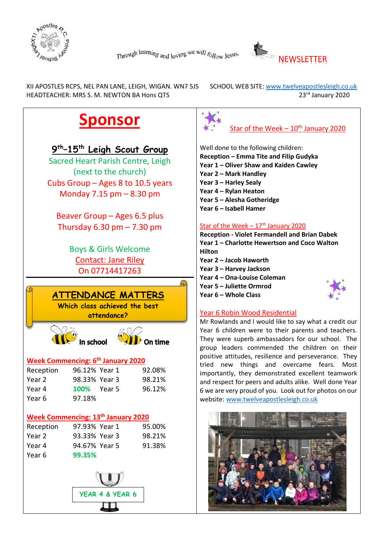



XII APOSTLES RCPS, NEL PAN LANE, LEIGH, WIGAN. WN7 5JS SCHOOL WEB SITE: www.twelveapostlesleigh.co.uk HEADTEACHER: MRS S. M. NEWTON BA Hons QTS 23<sup>rd</sup> January 2020

## **Sponsor**

## **9th–15th Leigh Scout Group**

Sacred Heart Parish Centre, Leigh (next to the church) Cubs Group – Ages 8 to 10.5 years Monday 7.15 pm – 8.30 pm

Beaver Group – Ages 6.5 plus Thursday  $6.30$  pm  $- 7.30$  pm

> Boys & Girls Welcome Contact: Jane Riley On 07714417263



**attendance?**





## **Week Commencing: 6th January 2020**

| Reception | 96.12% Year 1      | 92.08% |
|-----------|--------------------|--------|
| Year 2    | 98.33% Year 3      | 98.21% |
| Year 4    | <b>100%</b> Year 5 | 96.12% |
| Year 6    | 97.18%             |        |

## **Week Commencing: 13th January 2020**

| Reception | 97.93% Year 1 | 95.00% |
|-----------|---------------|--------|
| Year 2    | 93.33% Year 3 | 98.21% |
| Year 4    | 94.67% Year 5 | 91.38% |
| Year 6    | 99.35%        |        |





Well done to the following children: **Reception – Emma Tite and Filip Gudyka Year 1 – Oliver Shaw and Kaiden Cawley Year 2 – Mark Handley Year 3 – Harley Sealy Year 4 – Rylan Heaton**

- **Year 5 – Alesha Gotheridge**
- **Year 6 – Isabell Hamer**

## Star of the Week  $-17<sup>th</sup>$  January 2020

**Reception - Violet Fermandell and Brian Dabek Year 1 – Charlotte Hewertson and Coco Walton Hilton Year 2 – Jacob Haworth Year 3 – Harvey Jackson Year 4 – Ona-Louise Coleman Year 5 – Juliette Ormrod Year 6 – Whole Class**



Mr Rowlands and I would like to say what a credit our Year 6 children were to their parents and teachers. They were superb ambassadors for our school. The group leaders commended the children on their positive attitudes, resilience and perseverance. They tried new things and overcame fears. Most importantly, they demonstrated excellent teamwork and respect for peers and adults alike. Well done Year 6 we are very proud of you. Look out for photos on our website: [www.twelveapostlesleigh.co.uk](http://www.twelveapostlesleigh.co.uk/)

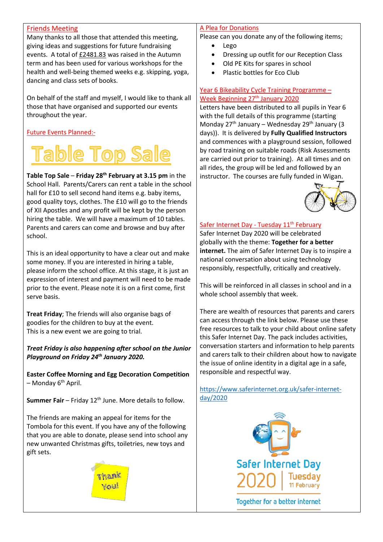#### Friends Meeting

Many thanks to all those that attended this meeting, giving ideas and suggestions for future fundraising events. A total of £2481.83 was raised in the Autumn term and has been used for various workshops for the health and well-being themed weeks e.g. skipping, yoga, dancing and class sets of books.

On behalf of the staff and myself, I would like to thank all those that have organised and supported our events throughout the year.

## Future Events Planned:-

# ble Top Sale

**Table Top Sale** – **Friday 28th February at 3.15 pm** in the School Hall. Parents/Carers can rent a table in the school hall for £10 to sell second hand items e.g. baby items, good quality toys, clothes. The £10 will go to the friends of XII Apostles and any profit will be kept by the person hiring the table. We will have a maximum of 10 tables. Parents and carers can come and browse and buy after school.

This is an ideal opportunity to have a clear out and make some money. If you are interested in hiring a table, please inform the school office. At this stage, it is just an expression of interest and payment will need to be made prior to the event. Please note it is on a first come, first serve basis.

**Treat Friday**; The friends will also organise bags of goodies for the children to buy at the event. This is a new event we are going to trial.

*Treat Friday is also happening after school on the Junior Playground on Friday 24th January 2020.*

**Easter Coffee Morning and Egg Decoration Competition**  $-$  Monday  $6<sup>th</sup>$  April.

**Summer Fair** – Friday 12<sup>th</sup> June. More details to follow.

The friends are making an appeal for items for the Tombola for this event. If you have any of the following that you are able to donate, please send into school any new unwanted Christmas gifts, toiletries, new toys and gift sets.



#### A Plea for Donations

Please can you donate any of the following items;

- Lego
- Dressing up outfit for our Reception Class
- Old PE Kits for spares in school
- Plastic bottles for Eco Club

#### Year 6 Bikeability Cycle Training Programme – Week Beginning 27<sup>th</sup> January 2020

Letters have been distributed to all pupils in Year 6 with the full details of this programme (starting Monday  $27<sup>th</sup>$  January – Wednesday  $29<sup>th</sup>$  January (3) days)). It is delivered by **Fully Qualified Instructors** and commences with a playground session, followed by road training on suitable roads (Risk Assessments are carried out prior to training). At all times and on all rides, the group will be led and followed by an instructor. The courses are fully funded in Wigan.



## Safer Internet Day - Tuesday 11<sup>th</sup> February

Safer Internet Day 2020 will be celebrated globally with the theme: **Together for a better internet.** The aim of Safer Internet Day is to inspire a national conversation about using technology responsibly, respectfully, critically and creatively.

This will be reinforced in all classes in school and in a whole school assembly that week.

There are wealth of resources that parents and carers can access through the link below. Please use these free resources to talk to your child about online safety this Safer Internet Day. The pack includes activities, conversation starters and information to help parents and carers talk to their children about how to navigate the issue of online identity in a digital age in a safe, responsible and respectful way.

[https://www.saferinternet.org.uk/safer-internet](https://www.saferinternet.org.uk/safer-internet-day/2020)[day/2020](https://www.saferinternet.org.uk/safer-internet-day/2020)

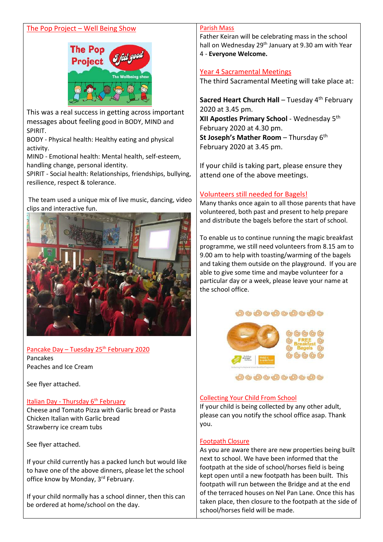#### The Pop Project – Well Being Show



This was a real success in getting across important messages about feeling good in BODY, MIND and SPIRIT.

BODY - Physical health: Healthy eating and physical activity.

MIND - Emotional health: Mental health, self-esteem, handling change, personal identity.

SPIRIT - Social health: Relationships, friendships, bullying, resilience, respect & tolerance.

The team used a unique mix of live music, dancing, video clips and interactive fun.



Pancake Day – Tuesday 25<sup>th</sup> February 2020 Pancakes Peaches and Ice Cream

See flyer attached.

#### Italian Day - Thursday 6<sup>th</sup> February

Cheese and Tomato Pizza with Garlic bread or Pasta Chicken Italian with Garlic bread Strawberry ice cream tubs

See flyer attached.

If your child currently has a packed lunch but would like to have one of the above dinners, please let the school office know by Monday, 3rd February.

If your child normally has a school dinner, then this can be ordered at home/school on the day.

#### Parish Mass

Father Keiran will be celebrating mass in the school hall on Wednesday 29<sup>th</sup> January at 9.30 am with Year 4 - **Everyone Welcome.**

#### Year 4 Sacramental Meetings

The third Sacramental Meeting will take place at:

**Sacred Heart Church Hall** – Tuesday 4<sup>th</sup> February 2020 at 3.45 pm. **XII Apostles Primary School** - Wednesday 5th February 2020 at 4.30 pm. **St Joseph's Mather Room** – Thursday 6<sup>th</sup> February 2020 at 3.45 pm.

If your child is taking part, please ensure they attend one of the above meetings.

#### Volunteers still needed for Bagels!

Many thanks once again to all those parents that have volunteered, both past and present to help prepare and distribute the bagels before the start of school.

To enable us to continue running the magic breakfast programme, we still need volunteers from 8.15 am to 9.00 am to help with toasting/warming of the bagels and taking them outside on the playground. If you are able to give some time and maybe volunteer for a particular day or a week, please leave your name at the school office.



#### Collecting Your Child From School

If your child is being collected by any other adult, please can you notify the school office asap. Thank you.

#### Footpath Closure

As you are aware there are new properties being built next to school. We have been informed that the footpath at the side of school/horses field is being kept open until a new footpath has been built. This footpath will run between the Bridge and at the end of the terraced houses on Nel Pan Lane. Once this has taken place, then closure to the footpath at the side of school/horses field will be made.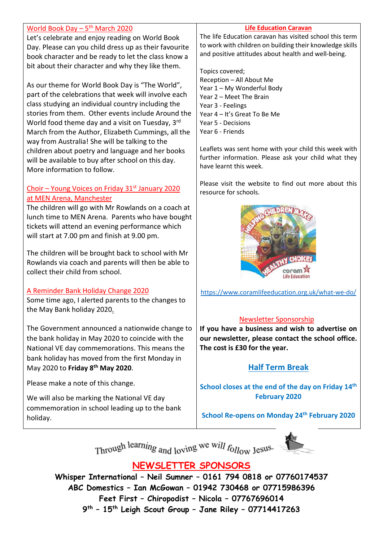## World Book Day  $-5$ <sup>th</sup> March 2020

Let's celebrate and enjoy reading on World Book Day. Please can you child dress up as their favourite book character and be ready to let the class know a bit about their character and why they like them.

As our theme for World Book Day is "The World", part of the celebrations that week will involve each class studying an individual country including the stories from them. Other events include Around the World food theme day and a visit on Tuesday, 3rd March from the Author, Elizabeth Cummings, all the way from Australia! She will be talking to the children about poetry and language and her books will be available to buy after school on this day. More information to follow.

## Choir – Young Voices on Friday  $31<sup>st</sup>$  January 2020 at MEN Arena, Manchester

The children will go with Mr Rowlands on a coach at lunch time to MEN Arena. Parents who have bought tickets will attend an evening performance which will start at 7.00 pm and finish at 9.00 pm.

The children will be brought back to school with Mr Rowlands via coach and parents will then be able to collect their child from school.

## A Reminder Bank Holiday Change 2020

Some time ago, I alerted parents to the changes to the May Bank holiday 2020.

The Government announced a nationwide change to the bank holiday in May 2020 to coincide with the National VE day commemorations. This means the bank holiday has moved from the first Monday in May 2020 to **Friday 8th May 2020**.

Please make a note of this change.

We will also be marking the National VE day commemoration in school leading up to the bank holiday.

#### **Life Education Caravan**

The life Education caravan has visited school this term to work with children on building their knowledge skills and positive attitudes about health and well-being.

Topics covered; Reception – All About Me Year 1 – My Wonderful Body Year 2 – Meet The Brain Year 3 - Feelings Year 4 – It's Great To Be Me Year 5 - Decisions Year 6 - Friends

Leaflets was sent home with your child this week with further information. Please ask your child what they have learnt this week.

Please visit the website to find out more about this resource for schools.



<https://www.coramlifeeducation.org.uk/what-we-do/>

## Newsletter Sponsorship

**If you have a business and wish to advertise on our newsletter, please contact the school office. The cost is £30 for the year.**

## **Half Term Break**

**School closes at the end of the day on Friday 14th February 2020**

**School Re-opens on Monday 24th February 2020**

Through learning and loving we will follow Jesus.



**NEWSLETTER SPONSORS**

**Whisper International – Neil Sumner – 0161 794 0818 or 07760174537 ABC Domestics – Ian McGowan – 01942 730468 or 07715986396 Feet First – Chiropodist – Nicola – 07767696014 9th – 15th Leigh Scout Group – Jane Riley – 07714417263**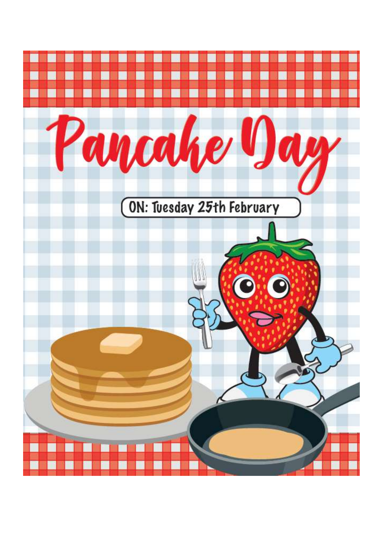